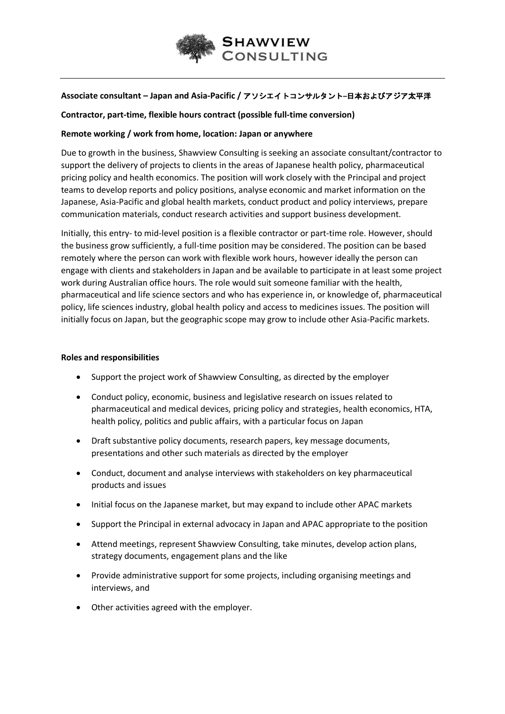

# **Associate consultant – Japan and Asia-Pacific /** アソシエイトコンサルタント**–**日本およびアジア太平洋

# **Contractor, part-time, flexible hours contract (possible full-time conversion)**

# **Remote working / work from home, location: Japan or anywhere**

Due to growth in the business, Shawview Consulting is seeking an associate consultant/contractor to support the delivery of projects to clients in the areas of Japanese health policy, pharmaceutical pricing policy and health economics. The position will work closely with the Principal and project teams to develop reports and policy positions, analyse economic and market information on the Japanese, Asia-Pacific and global health markets, conduct product and policy interviews, prepare communication materials, conduct research activities and support business development.

Initially, this entry- to mid-level position is a flexible contractor or part-time role. However, should the business grow sufficiently, a full-time position may be considered. The position can be based remotely where the person can work with flexible work hours, however ideally the person can engage with clients and stakeholders in Japan and be available to participate in at least some project work during Australian office hours. The role would suit someone familiar with the health, pharmaceutical and life science sectors and who has experience in, or knowledge of, pharmaceutical policy, life sciences industry, global health policy and access to medicines issues. The position will initially focus on Japan, but the geographic scope may grow to include other Asia-Pacific markets.

### **Roles and responsibilities**

- Support the project work of Shawview Consulting, as directed by the employer
- Conduct policy, economic, business and legislative research on issues related to pharmaceutical and medical devices, pricing policy and strategies, health economics, HTA, health policy, politics and public affairs, with a particular focus on Japan
- Draft substantive policy documents, research papers, key message documents, presentations and other such materials as directed by the employer
- Conduct, document and analyse interviews with stakeholders on key pharmaceutical products and issues
- Initial focus on the Japanese market, but may expand to include other APAC markets
- Support the Principal in external advocacy in Japan and APAC appropriate to the position
- Attend meetings, represent Shawview Consulting, take minutes, develop action plans, strategy documents, engagement plans and the like
- Provide administrative support for some projects, including organising meetings and interviews, and
- Other activities agreed with the employer.